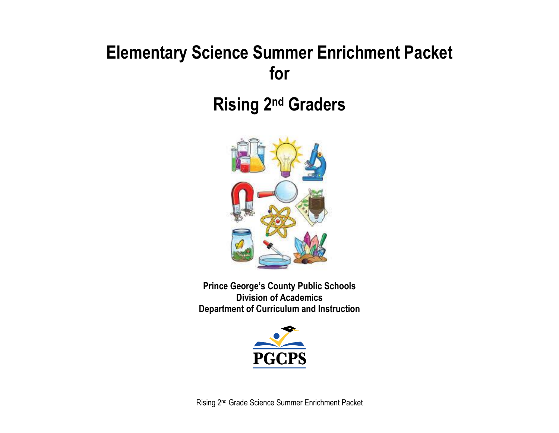# **Elementary Science Summer Enrichment Packet for**

**Rising 2<sup>nd</sup> Graders** 



**Prince George's County Public Schools Division of Academics Department of Curriculum and Instruction**

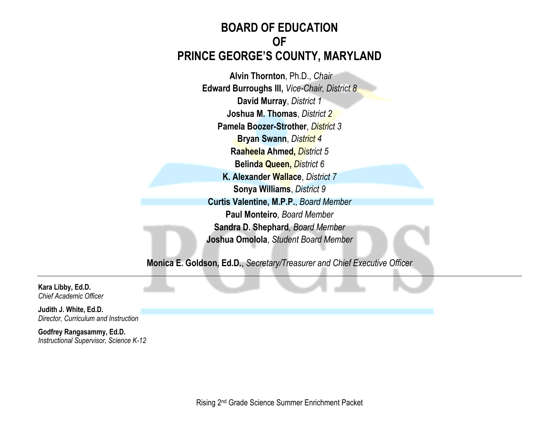# **BOARD OF EDUCATION OF PRINCE GEORGE'S COUNTY, MARYLAND**

**Alvin Thornton**, Ph.D., *Chair* **Edward Burroughs III,** *Vice-Chair, District 8* **David Murray**, *District 1* **Joshua M. Thomas**, *District 2* **Pamela Boozer-Strother**, *District 3* **Bryan Swann**, *District 4* **Raaheela Ahmed,** *District 5* **Belinda Queen,** *District 6* **K. Alexander Wallace**, *District 7* **Sonya Williams**, *District 9* **Curtis Valentine, M.P.P.**, *Board Member* **Paul Monteiro***, Board Member* **Sandra D. Shephard***, Board Member* **Joshua Omolola**, *Student Board Member*

**Monica E. Goldson, Ed.D.**, *Secretary/Treasurer and Chief Executive Officer*

**Kara Libby, Ed.D.** *Chief Academic Officer*

**Judith J. White, Ed.D.** *Director, Curriculum and Instruction*

**Godfrey Rangasammy, Ed.D.** *Instructional Supervisor, Science K-12*

Rising 2nd Grade Science Summer Enrichment Packet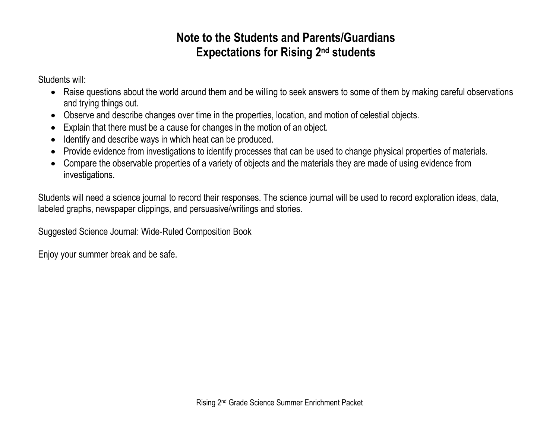# **Note to the Students and Parents/Guardians Expectations for Rising 2<sup>nd</sup> students**

Students will:

- Raise questions about the world around them and be willing to seek answers to some of them by making careful observations and trying things out.
- Observe and describe changes over time in the properties, location, and motion of celestial objects.
- Explain that there must be a cause for changes in the motion of an object.
- Identify and describe ways in which heat can be produced.
- Provide evidence from investigations to identify processes that can be used to change physical properties of materials.
- Compare the observable properties of a variety of objects and the materials they are made of using evidence from investigations.

Students will need a science journal to record their responses. The science journal will be used to record exploration ideas, data, labeled graphs, newspaper clippings, and persuasive/writings and stories.

Suggested Science Journal: Wide-Ruled Composition Book

Enjoy your summer break and be safe.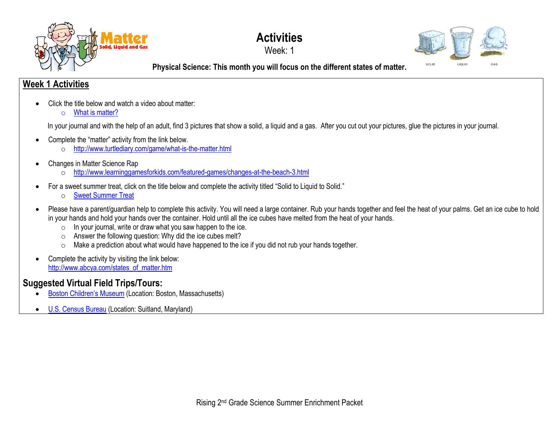

# **Activities**

Week: 1



**Physical Science: This month you will focus on the different states of matter.**

#### **Week 1 Activities**

- Click the title below and watch a video about matter:
	- o [What is matter?](https://www.youtube.com/watch?v=7mGxgvFa-5Q)

In your journal and with the help of an adult, find 3 pictures that show a solid, a liquid and a gas. After you cut out your pictures, glue the pictures in your journal.

- Complete the "matter" activity from the link below.
	- o <http://www.turtlediary.com/game/what-is-the-matter.html>
- Changes in Matter Science Rap
	- o <http://www.learninggamesforkids.com/featured-games/changes-at-the-beach-3.html>
- For a sweet summer treat, click on the title below and complete the activity titled "Solid to Liquid to Solid."
	- o [Sweet Summer Treat](https://docs.google.com/document/d/1vj2FAal6-fWzQWUQnYTfwHOCw3RW1Y02_91ahahffyw/edit?usp=sharing)
- Please have a parent/guardian help to complete this activity. You will need a large container. Rub your hands together and feel the heat of your palms. Get an ice cube to hold in your hands and hold your hands over the container. Hold until all the ice cubes have melted from the heat of your hands.
	- $\circ$  In your journal, write or draw what you saw happen to the ice.
	- o Answer the following question: Why did the ice cubes melt?
	- o Make a prediction about what would have happened to the ice if you did not rub your hands together.
- Complete the activity by visiting the link below: [http://www.abcya.com/states\\_of\\_matter.htm](http://www.abcya.com/states_of_matter.htm)

# **Suggested Virtual Field Trips/Tours:**

- [Boston Children's Museum](https://www.bostonchildrensmuseum.org/museum-virtual-tour) (Location: Boston, Massachusetts)
- [U.S. Census Bureau](https://www.census.gov/library/video/2020/mission-census-virtual-field-trip-to-the-census-bureau.html) (Location: Suitland, Maryland)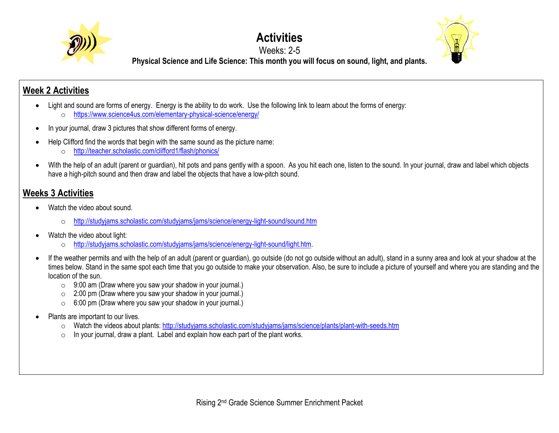

#### **Activities** Weeks: 2-5



**Physical Science and Life Science: This month you will focus on sound, light, and plants.**

## **Week 2 Activities**

- Light and sound are forms of energy. Energy is the ability to do work. Use the following link to learn about the forms of energy:
	- o <https://www.science4us.com/elementary-physical-science/energy/>
- In your journal, draw 3 pictures that show different forms of energy.
- Help Clifford find the words that begin with the same sound as the picture name:
	- o <http://teacher.scholastic.com/clifford1/flash/phonics/>
- With the help of an adult (parent or guardian), hit pots and pans gently with a spoon. As you hit each one, listen to the sound. In your journal, draw and label which objects have a high-pitch sound and then draw and label the objects that have a low-pitch sound.

## **Weeks 3 Activities**

- Watch the video about sound.
	- o <http://studyjams.scholastic.com/studyjams/jams/science/energy-light-sound/sound.htm>
- Watch the video about light:
	- o [http://studyjams.scholastic.com/studyjams/jams/science/energy-light-sound/light.htm.](http://studyjams.scholastic.com/studyjams/jams/science/energy-light-sound/light.htm)
- If the weather permits and with the help of an adult (parent or guardian), go outside (do not go outside without an adult), stand in a sunny area and look at your shadow at the times below. Stand in the same spot each time that you go outside to make your observation. Also, be sure to include a picture of yourself and where you are standing and the location of the sun.
	- $\circ$  9:00 am (Draw where you saw your shadow in your journal.)
	- $\circ$  2:00 pm (Draw where you saw your shadow in your journal.)
	- $\circ$  6:00 pm (Draw where you saw your shadow in your journal.)
- Plants are important to our lives.
	- o Watch the videos about plants:<http://studyjams.scholastic.com/studyjams/jams/science/plants/plant-with-seeds.htm>
	- o In your journal, draw a plant. Label and explain how each part of the plant works.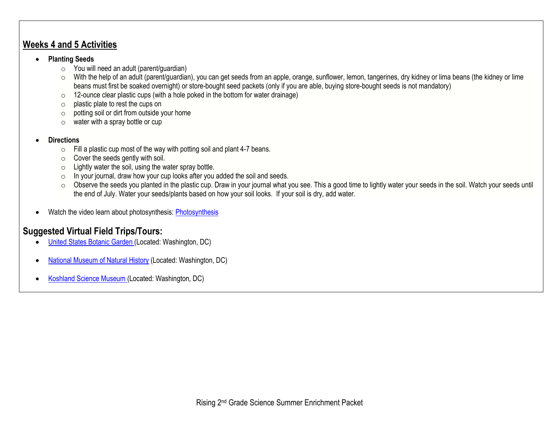#### **Weeks 4 and 5 Activities**

#### • **Planting Seeds**

- o You will need an adult (parent/guardian)
- o With the help of an adult (parent/guardian), you can get seeds from an apple, orange, sunflower, lemon, tangerines, dry kidney or lima beans (the kidney or lime beans must first be soaked overnight) or store-bought seed packets (only if you are able, buying store-bought seeds is not mandatory)
- $\circ$  12-ounce clear plastic cups (with a hole poked in the bottom for water drainage)
- o plastic plate to rest the cups on
- $\circ$  potting soil or dirt from outside your home
- $\circ$  water with a spray bottle or cup

#### • **Directions**

- $\circ$  Fill a plastic cup most of the way with potting soil and plant 4-7 beans.
- $\circ$  Cover the seeds gently with soil.
- $\circ$  Lightly water the soil, using the water spray bottle.
- $\circ$  In your journal, draw how your cup looks after you added the soil and seeds.
- o Observe the seeds you planted in the plastic cup. Draw in your journal what you see. This a good time to lightly water your seeds in the soil. Watch your seeds until the end of July. Water your seeds/plants based on how your soil looks. If your soil is dry, add water.
- Watch the video learn about photosynthesis[: Photosynthesis](http://studyjams.scholastic.com/studyjams/jams/science/plants/photosynthesis.htm)

# **Suggested Virtual Field Trips/Tours:**

- [United States Botanic Garden](https://www.usbg.gov/take-virtual-tour) (Located: Washington, DC)
- [National Museum of Natural](https://naturalhistory.si.edu/search/virtual%2Btour) History (Located: Washington, DC)
- [Koshland Science Museum](https://www.koshland-science-museum.org/) (Located: Washington, DC)